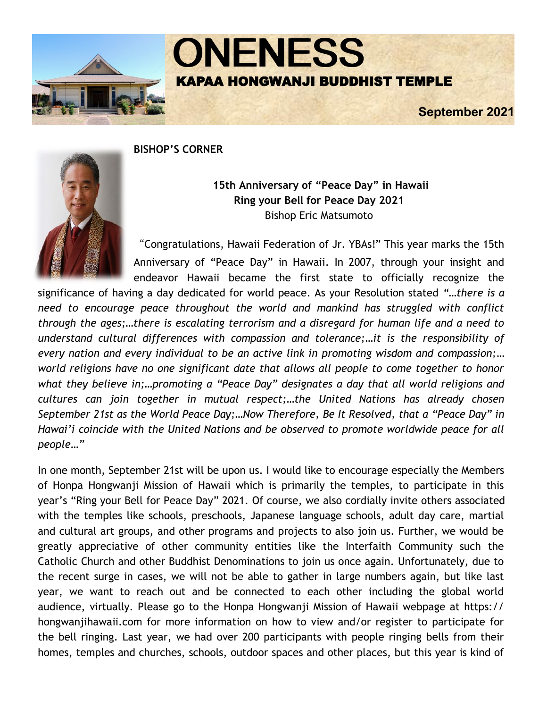

**ONENESS** KAPAA HONGWANJI BUDDHIST TEMPLE

**September 2021** 

### **BISHOP'S CORNER**



## **15th Anniversary of "Peace Day" in Hawaii Ring your Bell for Peace Day 2021** Bishop Eric Matsumoto

"Congratulations, Hawaii Federation of Jr. YBAs!" This year marks the 15th Anniversary of "Peace Day" in Hawaii. In 2007, through your insight and endeavor Hawaii became the first state to officially recognize the

significance of having a day dedicated for world peace. As your Resolution stated *"…there is a need to encourage peace throughout the world and mankind has struggled with conflict through the ages;…there is escalating terrorism and a disregard for human life and a need to understand cultural differences with compassion and tolerance;…it is the responsibility of every nation and every individual to be an active link in promoting wisdom and compassion;… world religions have no one significant date that allows all people to come together to honor what they believe in;…promoting a "Peace Day" designates a day that all world religions and cultures can join together in mutual respect;…the United Nations has already chosen September 21st as the World Peace Day;…Now Therefore, Be It Resolved, that a "Peace Day" in Hawai'i coincide with the United Nations and be observed to promote worldwide peace for all people…"* 

In one month, September 21st will be upon us. I would like to encourage especially the Members of Honpa Hongwanji Mission of Hawaii which is primarily the temples, to participate in this year's "Ring your Bell for Peace Day" 2021. Of course, we also cordially invite others associated with the temples like schools, preschools, Japanese language schools, adult day care, martial and cultural art groups, and other programs and projects to also join us. Further, we would be greatly appreciative of other community entities like the Interfaith Community such the Catholic Church and other Buddhist Denominations to join us once again. Unfortunately, due to the recent surge in cases, we will not be able to gather in large numbers again, but like last year, we want to reach out and be connected to each other including the global world audience, virtually. Please go to the Honpa Hongwanji Mission of Hawaii webpage at https:// hongwanjihawaii.com for more information on how to view and/or register to participate for the bell ringing. Last year, we had over 200 participants with people ringing bells from their homes, temples and churches, schools, outdoor spaces and other places, but this year is kind of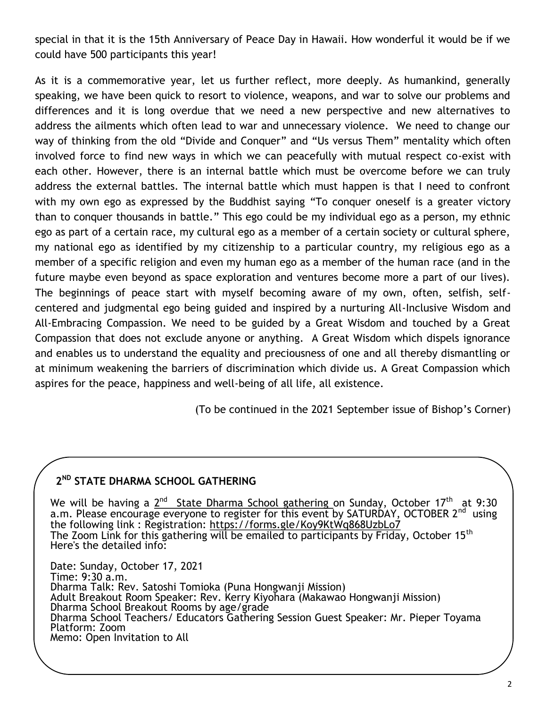special in that it is the 15th Anniversary of Peace Day in Hawaii. How wonderful it would be if we could have 500 participants this year!

As it is a commemorative year, let us further reflect, more deeply. As humankind, generally speaking, we have been quick to resort to violence, weapons, and war to solve our problems and differences and it is long overdue that we need a new perspective and new alternatives to address the ailments which often lead to war and unnecessary violence. We need to change our way of thinking from the old "Divide and Conquer" and "Us versus Them" mentality which often involved force to find new ways in which we can peacefully with mutual respect co-exist with each other. However, there is an internal battle which must be overcome before we can truly address the external battles. The internal battle which must happen is that I need to confront with my own ego as expressed by the Buddhist saying "To conquer oneself is a greater victory than to conquer thousands in battle." This ego could be my individual ego as a person, my ethnic ego as part of a certain race, my cultural ego as a member of a certain society or cultural sphere, my national ego as identified by my citizenship to a particular country, my religious ego as a member of a specific religion and even my human ego as a member of the human race (and in the future maybe even beyond as space exploration and ventures become more a part of our lives). The beginnings of peace start with myself becoming aware of my own, often, selfish, selfcentered and judgmental ego being guided and inspired by a nurturing All-Inclusive Wisdom and All-Embracing Compassion. We need to be guided by a Great Wisdom and touched by a Great Compassion that does not exclude anyone or anything. A Great Wisdom which dispels ignorance and enables us to understand the equality and preciousness of one and all thereby dismantling or at minimum weakening the barriers of discrimination which divide us. A Great Compassion which aspires for the peace, happiness and well-being of all life, all existence.

(To be continued in the 2021 September issue of Bishop's Corner)

## **2 ND STATE DHARMA SCHOOL GATHERING**

We will be having a  $2^{\text{nd}}$  State Dharma School gathering on Sunday, October 17<sup>th</sup> at 9:30 a.m. Please encourage everyone to register for this event by SATURDAY, OCTOBER 2<sup>nd</sup> using the following link : Registration: <https://forms.gle/Koy9KtWq868UzbLo7> The Zoom Link for this gathering will be emailed to participants by Friday, October 15<sup>th</sup> Here's the detailed info:

Date: Sunday, October 17, 2021 Time: 9:30 a.m. Dharma Talk: Rev. Satoshi Tomioka (Puna Hongwanji Mission) Adult Breakout Room Speaker: Rev. Kerry Kiyohara (Makawao Hongwanji Mission) Dharma School Breakout Rooms by age/grade Dharma School Teachers/ Educators Gathering Session Guest Speaker: Mr. Pieper Toyama Platform: Zoom Memo: Open Invitation to All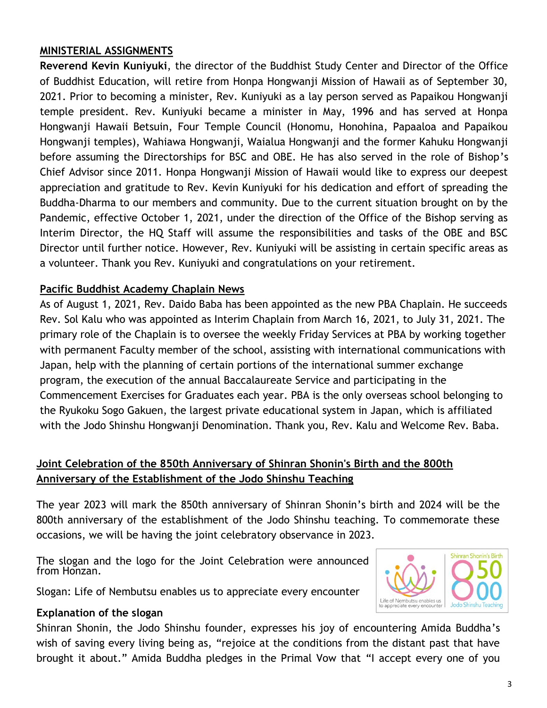### **MINISTERIAL ASSIGNMENTS**

**Reverend Kevin Kuniyuki**, the director of the Buddhist Study Center and Director of the Office of Buddhist Education, will retire from Honpa Hongwanji Mission of Hawaii as of September 30, 2021. Prior to becoming a minister, Rev. Kuniyuki as a lay person served as Papaikou Hongwanji temple president. Rev. Kuniyuki became a minister in May, 1996 and has served at Honpa Hongwanji Hawaii Betsuin, Four Temple Council (Honomu, Honohina, Papaaloa and Papaikou Hongwanji temples), Wahiawa Hongwanji, Waialua Hongwanji and the former Kahuku Hongwanji before assuming the Directorships for BSC and OBE. He has also served in the role of Bishop's Chief Advisor since 2011. Honpa Hongwanji Mission of Hawaii would like to express our deepest appreciation and gratitude to Rev. Kevin Kuniyuki for his dedication and effort of spreading the Buddha-Dharma to our members and community. Due to the current situation brought on by the Pandemic, effective October 1, 2021, under the direction of the Office of the Bishop serving as Interim Director, the HQ Staff will assume the responsibilities and tasks of the OBE and BSC Director until further notice. However, Rev. Kuniyuki will be assisting in certain specific areas as a volunteer. Thank you Rev. Kuniyuki and congratulations on your retirement.

### **Pacific Buddhist Academy Chaplain News**

As of August 1, 2021, Rev. Daido Baba has been appointed as the new PBA Chaplain. He succeeds Rev. Sol Kalu who was appointed as Interim Chaplain from March 16, 2021, to July 31, 2021. The primary role of the Chaplain is to oversee the weekly Friday Services at PBA by working together with permanent Faculty member of the school, assisting with international communications with Japan, help with the planning of certain portions of the international summer exchange program, the execution of the annual Baccalaureate Service and participating in the Commencement Exercises for Graduates each year. PBA is the only overseas school belonging to the Ryukoku Sogo Gakuen, the largest private educational system in Japan, which is affiliated with the Jodo Shinshu Hongwanji Denomination. Thank you, Rev. Kalu and Welcome Rev. Baba.

## **Joint Celebration of the 850th Anniversary of Shinran Shonin's Birth and the 800th Anniversary of the Establishment of the Jodo Shinshu Teaching**

The year 2023 will mark the 850th anniversary of Shinran Shonin's birth and 2024 will be the 800th anniversary of the establishment of the Jodo Shinshu teaching. To commemorate these occasions, we will be having the joint celebratory observance in 2023.

The slogan and the logo for the Joint Celebration were announced from Honzan.

Slogan: Life of Nembutsu enables us to appreciate every encounter

### **Explanation of the slogan**

Life of Nembutsu enables us<br>to appreciate every encounter

Shinran Shonin, the Jodo Shinshu founder, expresses his joy of encountering Amida Buddha's wish of saving every living being as, "rejoice at the conditions from the distant past that have brought it about." Amida Buddha pledges in the Primal Vow that "I accept every one of you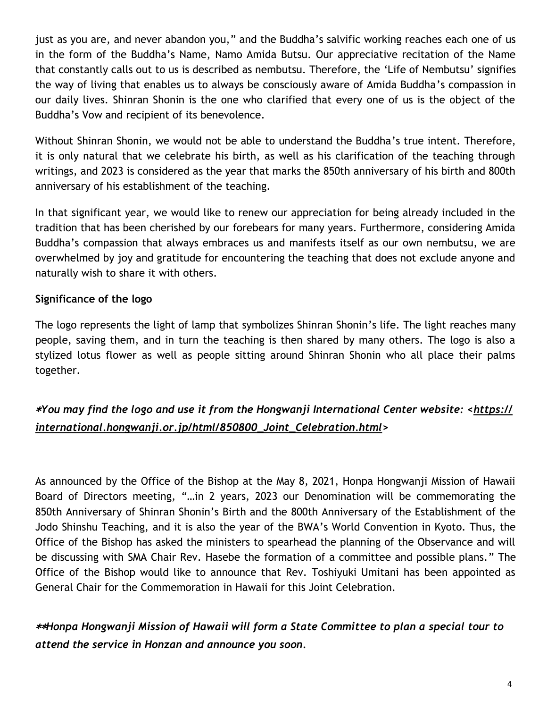just as you are, and never abandon you," and the Buddha's salvific working reaches each one of us in the form of the Buddha's Name, Namo Amida Butsu. Our appreciative recitation of the Name that constantly calls out to us is described as nembutsu. Therefore, the 'Life of Nembutsu' signifies the way of living that enables us to always be consciously aware of Amida Buddha's compassion in our daily lives. Shinran Shonin is the one who clarified that every one of us is the object of the Buddha's Vow and recipient of its benevolence.

Without Shinran Shonin, we would not be able to understand the Buddha's true intent. Therefore, it is only natural that we celebrate his birth, as well as his clarification of the teaching through writings, and 2023 is considered as the year that marks the 850th anniversary of his birth and 800th anniversary of his establishment of the teaching.

In that significant year, we would like to renew our appreciation for being already included in the tradition that has been cherished by our forebears for many years. Furthermore, considering Amida Buddha's compassion that always embraces us and manifests itself as our own nembutsu, we are overwhelmed by joy and gratitude for encountering the teaching that does not exclude anyone and naturally wish to share it with others.

## **Significance of the logo**

The logo represents the light of lamp that symbolizes Shinran Shonin's life. The light reaches many people, saving them, and in turn the teaching is then shared by many others. The logo is also a stylized lotus flower as well as people sitting around Shinran Shonin who all place their palms together.

# \**You may find the logo and use it from the Hongwanji International Center website: <[https://](https://international.hongwanji.or.jp/html/850800_Joint_Celebration.html) [international.hongwanji.or.jp/html/850800\\_Joint\\_Celebration.html>](https://international.hongwanji.or.jp/html/850800_Joint_Celebration.html)*

As announced by the Office of the Bishop at the May 8, 2021, Honpa Hongwanji Mission of Hawaii Board of Directors meeting, "…in 2 years, 2023 our Denomination will be commemorating the 850th Anniversary of Shinran Shonin's Birth and the 800th Anniversary of the Establishment of the Jodo Shinshu Teaching, and it is also the year of the BWA's World Convention in Kyoto. Thus, the Office of the Bishop has asked the ministers to spearhead the planning of the Observance and will be discussing with SMA Chair Rev. Hasebe the formation of a committee and possible plans." The Office of the Bishop would like to announce that Rev. Toshiyuki Umitani has been appointed as General Chair for the Commemoration in Hawaii for this Joint Celebration.

\*\**Honpa Hongwanji Mission of Hawaii will form a State Committee to plan a special tour to attend the service in Honzan and announce you soon.*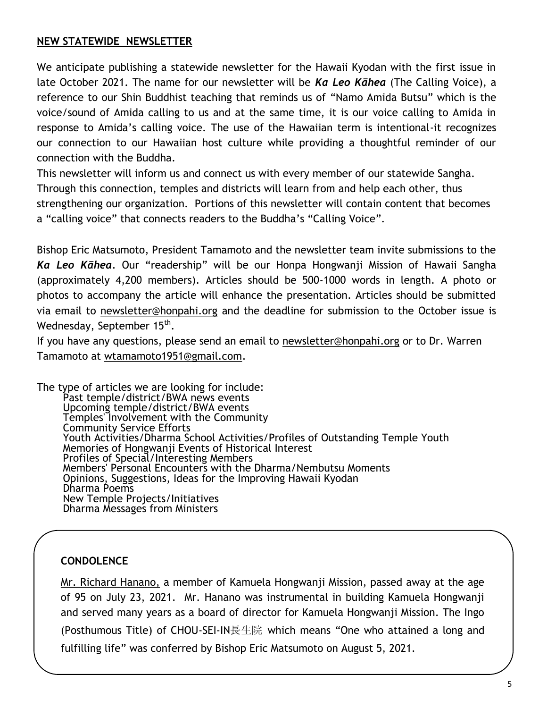### **NEW STATEWIDE NEWSLETTER**

We anticipate publishing a statewide newsletter for the Hawaii Kyodan with the first issue in late October 2021. The name for our newsletter will be *Ka Leo Kāhea* (The Calling Voice), a reference to our Shin Buddhist teaching that reminds us of "Namo Amida Butsu" which is the voice/sound of Amida calling to us and at the same time, it is our voice calling to Amida in response to Amida's calling voice. The use of the Hawaiian term is intentional-it recognizes our connection to our Hawaiian host culture while providing a thoughtful reminder of our connection with the Buddha.

This newsletter will inform us and connect us with every member of our statewide Sangha. Through this connection, temples and districts will learn from and help each other, thus strengthening our organization. Portions of this newsletter will contain content that becomes a "calling voice" that connects readers to the Buddha's "Calling Voice".

Bishop Eric Matsumoto, President Tamamoto and the newsletter team invite submissions to the *Ka Leo Kāhea*. Our "readership" will be our Honpa Hongwanji Mission of Hawaii Sangha (approximately 4,200 members). Articles should be 500-1000 words in length. A photo or photos to accompany the article will enhance the presentation. Articles should be submitted via email to [newsletter@honpahi.org](mailto:newsletter@honpahi.org) and the deadline for submission to the October issue is Wednesday, September 15<sup>th</sup>.

If you have any questions, please send an email to [newsletter@honpahi.org](mailto:newsletter@honpahi.org) or to Dr. Warren Tamamoto at [wtamamoto1951@gmail.com.](mailto:wtamamoto1951@gmail.com) 

The type of articles we are looking for include: Past temple/district/BWA news events Upcoming temple/district/BWA events Temples' Involvement with the Community Community Service Efforts Youth Activities/Dharma School Activities/Profiles of Outstanding Temple Youth Memories of Hongwanji Events of Historical Interest Profiles of Special/Interesting Members Members' Personal Encounters with the Dharma/Nembutsu Moments Opinions, Suggestions, Ideas for the Improving Hawaii Kyodan Dharma Poems New Temple Projects/Initiatives Dharma Messages from Ministers

#### **CONDOLENCE**

Mr. Richard Hanano, a member of Kamuela Hongwanji Mission, passed away at the age of 95 on July 23, 2021. Mr. Hanano was instrumental in building Kamuela Hongwanji and served many years as a board of director for Kamuela Hongwanji Mission. The Ingo (Posthumous Title) of CHOU-SEI-IN長生院 which means "One who attained a long and fulfilling life" was conferred by Bishop Eric Matsumoto on August 5, 2021.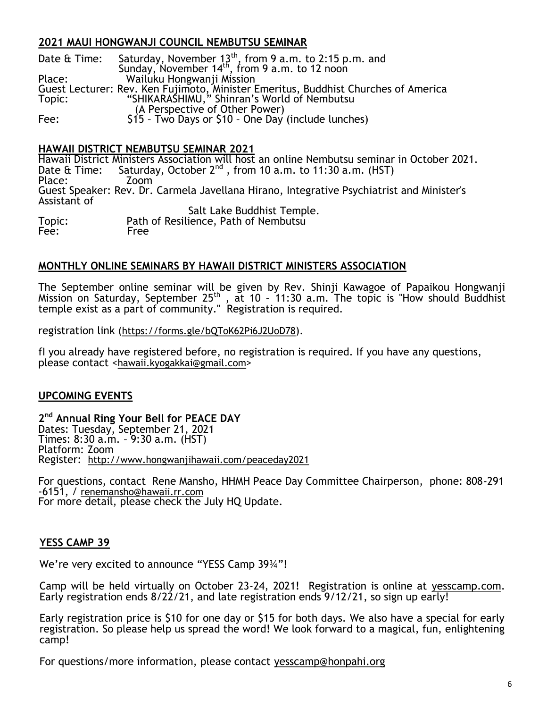### **2021 MAUI HONGWANJI COUNCIL NEMBUTSU SEMINAR**

| Date & Time: | Saturday, November $13^{th}$ , from 9 a.m. to 2:15 p.m. and Sunday, November $14^{th}$ , from 9 a.m. to 12 noon |
|--------------|-----------------------------------------------------------------------------------------------------------------|
|              |                                                                                                                 |
| Place:       | Wailuku Hongwanji Mission                                                                                       |
|              | Guest Lecturer: Rev. Ken Fujimoto, Minister Emeritus, Buddhist Churches of America                              |
| Topic:       | "SHIKARASHIMU," Shinran's World of Nembutsu                                                                     |
|              | (A Perspective of Other Power)                                                                                  |
| Fee:         | \$15 - Two Days or \$10 - One Day (include lunches)                                                             |

#### **HAWAII DISTRICT NEMBUTSU SEMINAR 2021**

Hawaii District Ministers Association will host an online Nembutsu seminar in October 2021. Date & Time: Saturday, October 2<sup>nd</sup>, from 10 a.m. to 11:30 a.m. (HST)<br>Place: Zoom 200m Place: Guest Speaker: Rev. Dr. Carmela Javellana Hirano, Integrative Psychiatrist and Minister's Assistant of Salt Lake Buddhist Temple.<br>Topic: Path of Resilience, Path of Nembutsu Path of Resilience, Path of Nembutsu Fee: Free

#### **MONTHLY ONLINE SEMINARS BY HAWAII DISTRICT MINISTERS ASSOCIATION**

The September online seminar will be given by Rev. Shinji Kawagoe of Papaikou Hongwanji Mission on Saturday, September  $25<sup>th</sup>$ , at 10 - 11:30 a.m. The topic is "How should Buddhist temple exist as a part of community." Registration is required.

registration link (<https://forms.gle/bQToK62Pi6J2UoD78>).

fI you already have registered before, no registration is required. If you have any questions, please contact <[hawaii.kyogakkai@gmail.com](mailto:hawaii.kyogakkai@gmail.com)>

#### **UPCOMING EVENTS**

**2 nd Annual Ring Your Bell for PEACE DAY** Dates: Tuesday, September 21, 2021 Times: 8:30 a.m. – 9:30 a.m. (HST) Platform: Zoom Register: <http://www.hongwanjihawaii.com/peaceday2021>

For questions, contact Rene Mansho, HHMH Peace Day Committee Chairperson, phone: 808-291 -6151, / [renemansho@hawaii.rr.com](mailto:renemansho@hawaii.rr.com) For more detail, please check the July HQ Update.

#### **YESS CAMP 39**

We're very excited to announce "YESS Camp 39¾"!

Camp will be held virtually on October 23-24, 2021! Registration is online at [yesscamp.com.](https://www.yesscamp.com/)  Early registration ends 8/22/21, and late registration ends 9/12/21, so sign up early!

Early registration price is \$10 for one day or \$15 for both days. We also have a special for early registration. So please help us spread the word! We look forward to a magical, fun, enlightening camp!

For questions/more information, please contact [yesscamp@honpahi.org](mailto:yesscamp@honpahi.org)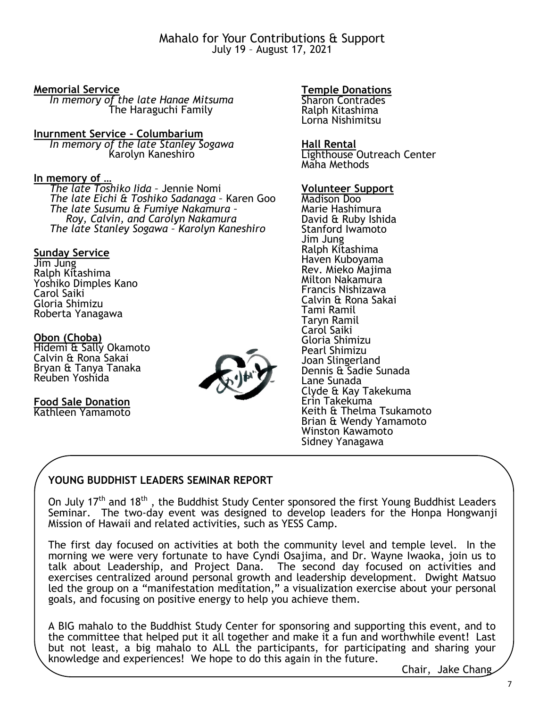Mahalo for Your Contributions & Support July 19 – August 17, 2021

#### **Memorial Service**

 *In memory of the late Hanae Mitsuma* The Haraguchi Family

**Inurnment Service - Columbarium** *In memory of the late Stanley Sogawa* Karolyn Kaneshiro

### **In memory of …**

 *The late Toshiko Iida –* Jennie Nomi *The late Eichi & Toshiko Sadanaga –* Karen Goo *The late Susumu & Fumiye Nakamura – Roy, Calvin, and Carolyn Nakamura The late Stanley Sogawa – Karolyn Kaneshiro*

#### **Sunday Service**

Jim Jung Ralph Kitashima Yoshiko Dimples Kano Carol Saiki Gloria Shimizu Roberta Yanagawa

#### **Obon (Choba)**

Hidemi & Sally Okamoto Calvin & Rona Sakai Bryan & Tanya Tanaka Reuben Yoshida

## **Food Sale Donation**

Kathleen Yamamoto



#### **Temple Donations**

Sharon Contrades Ralph Kitashima Lorna Nishimitsu

#### **Hall Rental**

Lighthouse Outreach Center Maha Methods

#### **Volunteer Support**

Madison Doo Marie Hashimura David & Ruby Ishida Stanford Iwamoto Jim Jung Ralph Kitashima Haven Kuboyama Rev. Mieko Majima Milton Nakamura Francis Nishizawa Calvin & Rona Sakai Tami Ramil Taryn Ramil Carol Saiki Gloria Shimizu Pearl Shimizu Joan Slingerland Dennis & Sadie Sunada Lane Sunada Clyde & Kay Takekuma Erin Takekuma Keith & Thelma Tsukamoto Brian & Wendy Yamamoto Winston Kawamoto Sidney Yanagawa

### **YOUNG BUDDHIST LEADERS SEMINAR REPORT**

On July 17<sup>th</sup> and 18<sup>th</sup>, the Buddhist Study Center sponsored the first Young Buddhist Leaders Seminar. The two-day event was designed to develop leaders for the Honpa Hongwanji Mission of Hawaii and related activities, such as YESS Camp.

The first day focused on activities at both the community level and temple level. In the morning we were very fortunate to have Cyndi Osajima, and Dr. Wayne Iwaoka, join us to talk about Leadership, and Project Dana. The second day focused on activities and exercises centralized around personal growth and leadership development. Dwight Matsuo led the group on a "manifestation meditation," a visualization exercise about your personal goals, and focusing on positive energy to help you achieve them.

A BIG mahalo to the Buddhist Study Center for sponsoring and supporting this event, and to the committee that helped put it all together and make it a fun and worthwhile event! Last but not least, a big mahalo to ALL the participants, for participating and sharing your knowledge and experiences! We hope to do this again in the future.

Chair, Jake Chang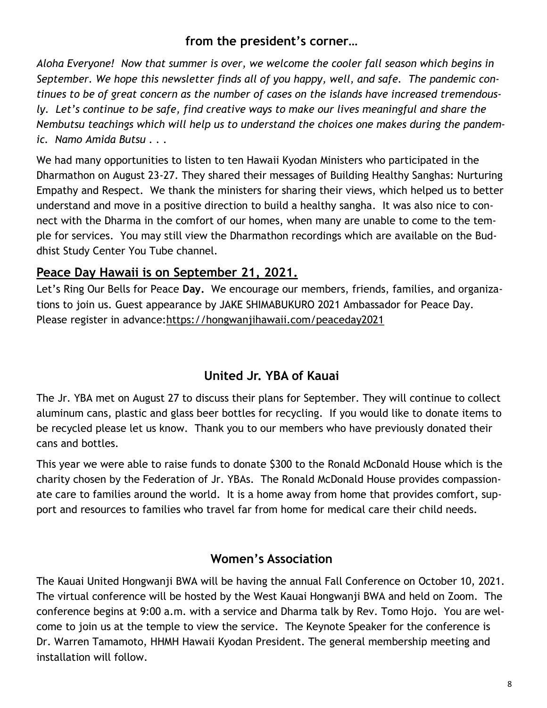## **from the president's corner…**

*Aloha Everyone! Now that summer is over, we welcome the cooler fall season which begins in September. We hope this newsletter finds all of you happy, well, and safe. The pandemic continues to be of great concern as the number of cases on the islands have increased tremendously. Let's continue to be safe, find creative ways to make our lives meaningful and share the Nembutsu teachings which will help us to understand the choices one makes during the pandemic. Namo Amida Butsu . . .*

We had many opportunities to listen to ten Hawaii Kyodan Ministers who participated in the Dharmathon on August 23-27. They shared their messages of Building Healthy Sanghas: Nurturing Empathy and Respect. We thank the ministers for sharing their views, which helped us to better understand and move in a positive direction to build a healthy sangha. It was also nice to connect with the Dharma in the comfort of our homes, when many are unable to come to the temple for services. You may still view the Dharmathon recordings which are available on the Buddhist Study Center You Tube channel.

## **Peace Day Hawaii is on September 21, 2021.**

Let's Ring Our Bells for Peace **Day.** We encourage our members, friends, families, and organizations to join us. Guest appearance by JAKE SHIMABUKURO 2021 Ambassador for Peace Day. Please register in advance[:https://hongwanjihawaii.com/peaceday2021](https://hongwanjihawaii.com/peaceday2021)

## **United Jr. YBA of Kauai**

The Jr. YBA met on August 27 to discuss their plans for September. They will continue to collect aluminum cans, plastic and glass beer bottles for recycling. If you would like to donate items to be recycled please let us know. Thank you to our members who have previously donated their cans and bottles.

This year we were able to raise funds to donate \$300 to the Ronald McDonald House which is the charity chosen by the Federation of Jr. YBAs. The Ronald McDonald House provides compassionate care to families around the world. It is a home away from home that provides comfort, support and resources to families who travel far from home for medical care their child needs.

## **Women's Association**

The Kauai United Hongwanji BWA will be having the annual Fall Conference on October 10, 2021. The virtual conference will be hosted by the West Kauai Hongwanji BWA and held on Zoom. The conference begins at 9:00 a.m. with a service and Dharma talk by Rev. Tomo Hojo. You are welcome to join us at the temple to view the service. The Keynote Speaker for the conference is Dr. Warren Tamamoto, HHMH Hawaii Kyodan President. The general membership meeting and installation will follow.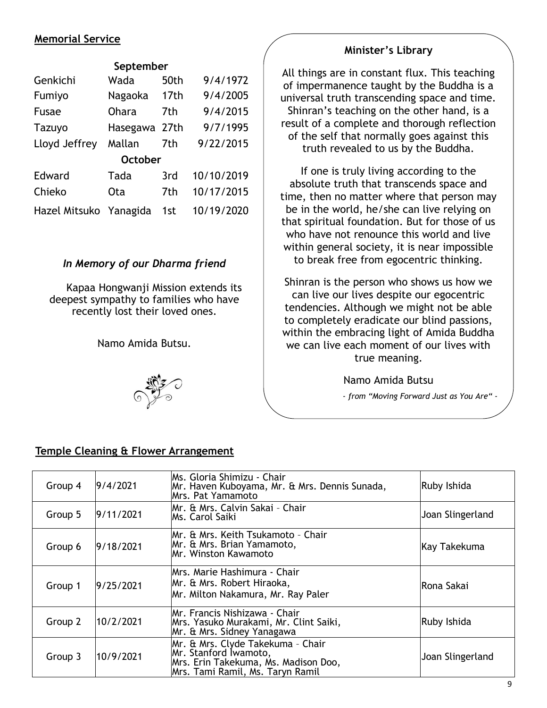### **Memorial Service**

#### **September**

| Genkichi               | Wada          | 50th | 9/4/1972   |  |
|------------------------|---------------|------|------------|--|
| Fumiyo                 | Nagaoka       | 17th | 9/4/2005   |  |
| Fusae                  | <b>Ohara</b>  | 7th  | 9/4/2015   |  |
| Tazuyo                 | Hasegawa 27th |      | 9/7/1995   |  |
| Lloyd Jeffrey          | Mallan        | 7th  | 9/22/2015  |  |
| <b>October</b>         |               |      |            |  |
| Edward                 | Tada          | 3rd  | 10/10/2019 |  |
| Chieko                 | <b>Ota</b>    | 7th  | 10/17/2015 |  |
| Hazel Mitsuko Yanagida |               | 1st  | 10/19/2020 |  |

### *In Memory of our Dharma friend*

Kapaa Hongwanji Mission extends its deepest sympathy to families who have recently lost their loved ones.

Namo Amida Butsu.



### **Minister's Library**

All things are in constant flux. This teaching of impermanence taught by the Buddha is a universal truth transcending space and time. Shinran's teaching on the other hand, is a result of a complete and thorough reflection of the self that normally goes against this truth revealed to us by the Buddha.

If one is truly living according to the absolute truth that transcends space and time, then no matter where that person may be in the world, he/she can live relying on that spiritual foundation. But for those of us who have not renounce this world and live within general society, it is near impossible to break free from egocentric thinking.

Shinran is the person who shows us how we can live our lives despite our egocentric tendencies. Although we might not be able to completely eradicate our blind passions, within the embracing light of Amida Buddha we can live each moment of our lives with true meaning.

Namo Amida Butsu

*- from "Moving Forward Just as You Are" -*

#### Group 4 9/4/2021 Ms. Gloria Shimizu - Chair Mr. Haven Kuboyama, Mr. & Mrs. Dennis Sunada, Mrs. Pat Yamamoto Ruby Ishida Group 5 9/11/2021 Mr. & Mrs. Calvin Sakai - Chair Joan Slingerland Group 6 9/18/2021 Mr. & Mrs. Keith Tsukamoto – Chair Mr. & Mrs. Brian Yamamoto, Mr. Winston Kawamoto Kay Takekuma Group 1 9/25/2021 Mrs. Marie Hashimura - Chair Mr. & Mrs. Robert Hiraoka, Mr. Milton Nakamura, Mr. Ray Paler Rona Sakai Group 2 10/2/2021 Mr. Francis Nishizawa - Chair Mrs. Yasuko Murakami, Mr. Clint Saiki, Mr. & Mrs. Sidney Yanagawa Ruby Ishida Group 3 10/9/2021 Mr. & Mrs. Clyde Takekuma – Chair Mr. Stanford Iwamoto, Mrs. Erin Takekuma, Ms. Madison Doo, Mrs. Tami Ramil, Ms. Taryn Ramil Joan Slingerland

#### **Temple Cleaning & Flower Arrangement**